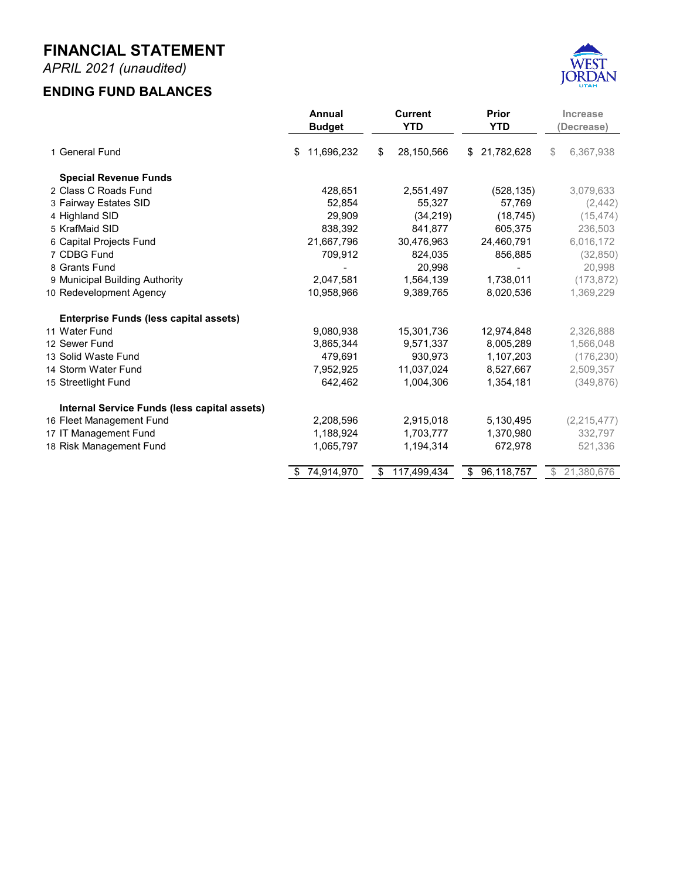## **JULY 2020 - APRIL 2021 MONTHLY FINANCIAL REPORT FOR THE FISCAL YEAR 2020-2021**



**Prepared by Danyce Steck, CPFO Administrative Services Director**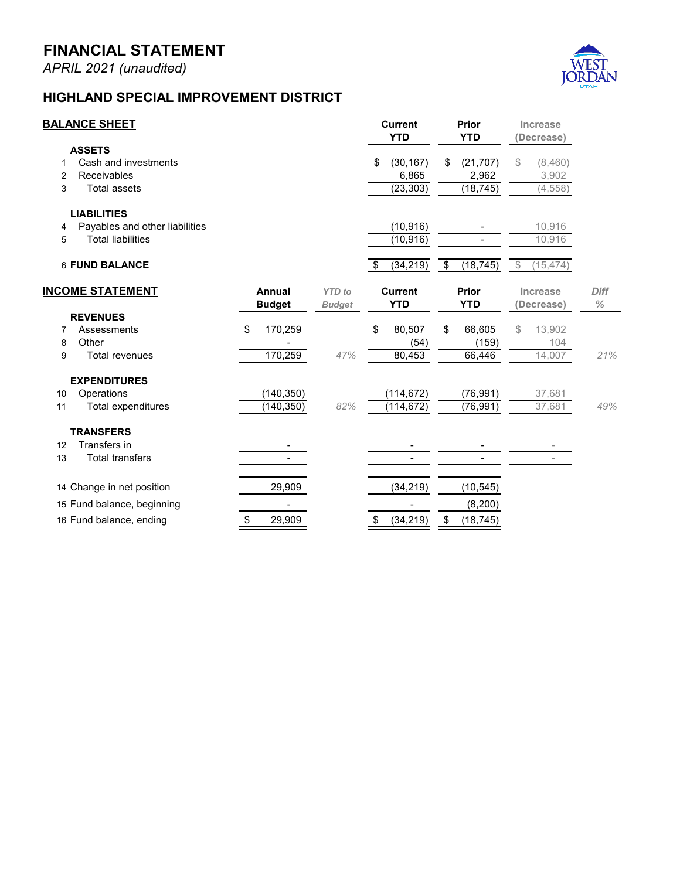## **FINANCIAL STATEMENT**

*APRIL 2021 (unaudited)*

## **FAIRWAY ESTATES**



| <b>BALANCE SHEET</b>    |                                |    |                         |                                | <b>Current</b><br><b>YTD</b> |           | Prior<br><b>YTD</b>              |          | Increase<br>Decrease)        |          |                     |
|-------------------------|--------------------------------|----|-------------------------|--------------------------------|------------------------------|-----------|----------------------------------|----------|------------------------------|----------|---------------------|
|                         | <b>ASSETS</b>                  |    |                         |                                |                              |           |                                  |          |                              |          |                     |
|                         | Cash and investments           |    |                         |                                | \$                           | 56,113    | \$                               | 57,769   | \$                           | (1,656)  |                     |
| $\overline{2}$          | Receivables                    |    |                         |                                |                              | (0)       |                                  |          |                              | (0)      |                     |
| 3                       | <b>Total assets</b>            |    |                         |                                |                              | 56,112    |                                  | 57,769   |                              | (1,657)  |                     |
|                         | <b>LIABILITIES</b>             |    |                         |                                |                              |           |                                  |          |                              |          |                     |
| 4                       | Payables and other liabilities |    |                         |                                |                              | (785)     |                                  |          |                              | 785      |                     |
| 5                       | <b>Total liabilities</b>       |    |                         |                                |                              | (785)     |                                  |          |                              | 785      |                     |
|                         | <b>6 FUND BALANCE</b>          |    |                         |                                |                              | 55,327    | $\overline{\boldsymbol{\theta}}$ | 57,769   | $\mathbb{S}$                 | (2, 442) |                     |
| <b>INCOME STATEMENT</b> |                                |    | Annual<br><b>Budget</b> | <b>YTD</b> to<br><b>Budget</b> | <b>Current</b><br><b>YTD</b> |           | Prior<br><b>YTD</b>              |          | <b>Increase</b><br>Decrease) |          | <b>Diff</b><br>$\%$ |
|                         | <b>REVENUES</b>                |    |                         |                                |                              |           |                                  |          |                              |          |                     |
| 7                       | Property tax                   | \$ | 10,831                  |                                | \$                           | 10,811    | \$                               | 10,900   | \$                           | (89)     |                     |
| 8                       | Other                          |    | 10                      |                                |                              | 230       |                                  | 928      |                              | (698)    |                     |
| 9                       | <b>Total revenues</b>          |    | 10,841                  | 102%                           |                              | 11,041    |                                  | 11,828   |                              | (787)    | $-7%$               |
|                         | <b>EXPENDITURES</b>            |    |                         |                                |                              |           |                                  |          |                              |          |                     |
| 10                      | Operations                     |    | (12,500)                |                                |                              | (10, 227) |                                  | (9, 448) |                              | 780      |                     |
| 11                      | Total expenditures             |    | (12, 500)               | 82%                            |                              | (10, 227) |                                  | (9, 448) |                              | 780      | $8\%$               |
|                         |                                |    |                         |                                |                              |           |                                  |          |                              |          |                     |
|                         | 12 Change in net position      |    | (1,659)                 |                                |                              | 814       |                                  | 2,380    |                              |          |                     |
|                         | 13 Fund balance, beginning     |    | 54,513                  |                                |                              | 54,513    |                                  | 55,389   |                              |          |                     |
|                         | 14 Fund balance, ending        | \$ | 52,854                  |                                |                              | 55,327    | \$                               | 57,769   |                              |          |                     |
|                         |                                |    |                         |                                |                              |           |                                  |          |                              |          |                     |